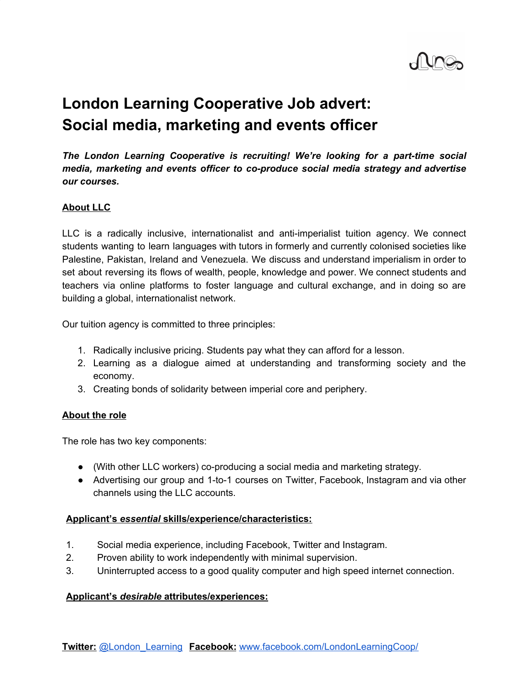

# **London Learning Cooperative Job advert: Social media, marketing and events officer**

*The London Learning Cooperative is recruiting! We're looking for a part-time social media, marketing and events officer to co-produce social media strategy and advertise our courses.*

## **About LLC**

LLC is a radically inclusive, internationalist and anti-imperialist tuition agency. We connect students wanting to learn languages with tutors in formerly and currently colonised societies like Palestine, Pakistan, Ireland and Venezuela. We discuss and understand imperialism in order to set about reversing its flows of wealth, people, knowledge and power. We connect students and teachers via online platforms to foster language and cultural exchange, and in doing so are building a global, internationalist network.

Our tuition agency is committed to three principles:

- 1. Radically inclusive pricing. Students pay what they can afford for a lesson.
- 2. Learning as a dialogue aimed at understanding and transforming society and the economy.
- 3. Creating bonds of solidarity between imperial core and periphery.

#### **About the role**

The role has two key components:

- (With other LLC workers) co-producing a social media and marketing strategy.
- Advertising our group and 1-to-1 courses on Twitter, Facebook, Instagram and via other channels using the LLC accounts.

### **Applicant's** *essential* **skills/experience/characteristics:**

- 1. Social media experience, including Facebook, Twitter and Instagram.
- 2. Proven ability to work independently with minimal supervision.
- 3. Uninterrupted access to a good quality computer and high speed internet connection.

### **Applicant's** *desirable* **attributes/experiences:**